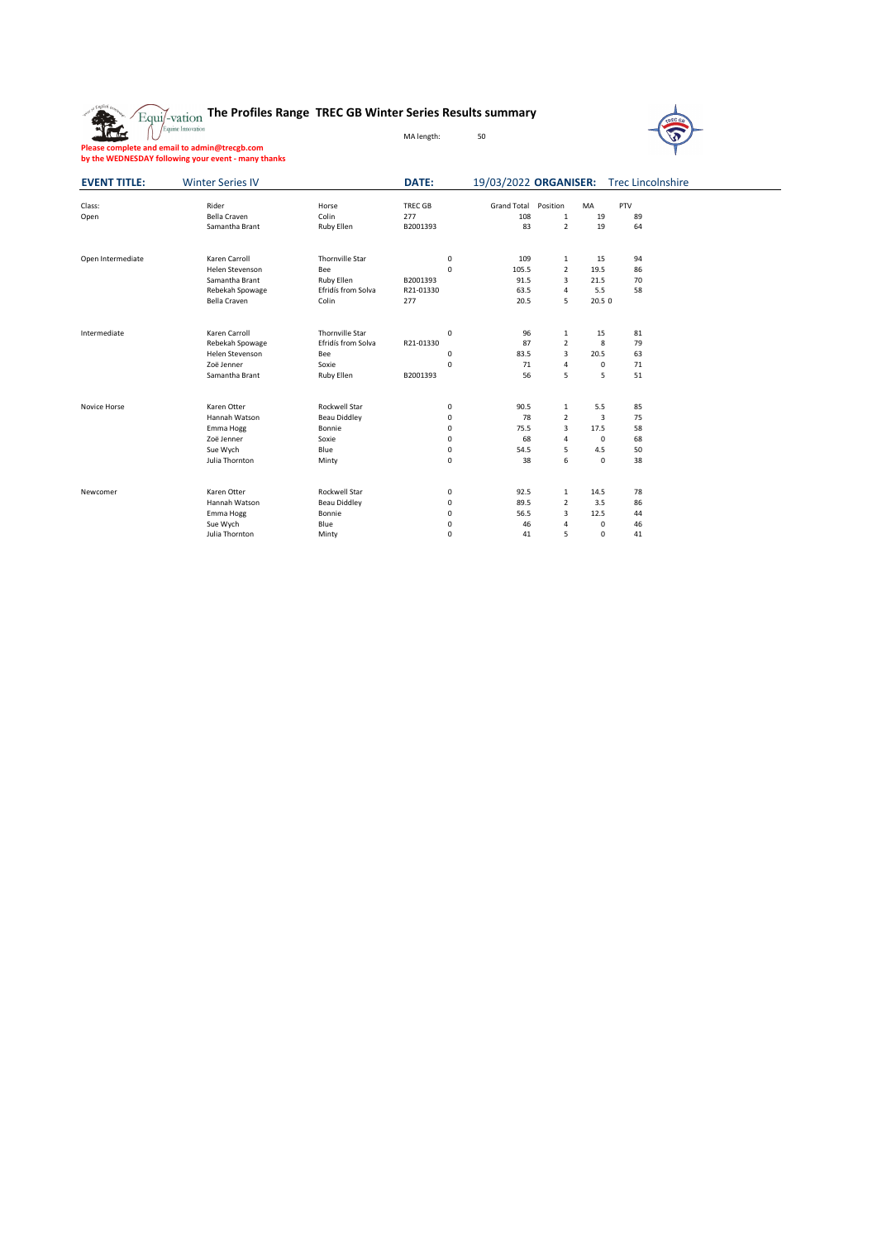



**Please complete and email to admin@trecgb.com by the WEDNESDAY following your event - many thanks**

| <b>EVENT TITLE:</b> | <b>Winter Series IV</b> |                        | <b>DATE:</b> | 19/03/2022 ORGANISER: Trec Lincolnshire |                                |                  |        |  |
|---------------------|-------------------------|------------------------|--------------|-----------------------------------------|--------------------------------|------------------|--------|--|
|                     |                         |                        |              |                                         |                                |                  |        |  |
| Class:              | Rider                   | Horse                  | TREC GB      | <b>Grand Total</b>                      | Position                       | MA               | PTV    |  |
| Open                | <b>Bella Craven</b>     | Colin                  | 277          | 108<br>83                               | $\mathbf{1}$<br>$\overline{2}$ | 19<br>19         | 89     |  |
|                     | Samantha Brant          | Ruby Ellen             | B2001393     |                                         |                                |                  | 64     |  |
| Open Intermediate   | Karen Carroll           | Thornville Star        | $\mathbf 0$  | 109                                     | $\mathbf{1}$                   | 15               | 94     |  |
|                     | Helen Stevenson         | Bee                    | 0            | 105.5                                   | $\overline{2}$                 | 19.5             | 86     |  |
|                     | Samantha Brant          | Ruby Ellen             | B2001393     | 91.5                                    | 3                              | 21.5             | 70     |  |
|                     | Rebekah Spowage         | Efridís from Solva     | R21-01330    | 63.5                                    | 4                              | 5.5              | 58     |  |
|                     | <b>Bella Craven</b>     | Colin                  | 277          | 20.5                                    | 5                              | 20.5 0           |        |  |
| Intermediate        | Karen Carroll           | <b>Thornville Star</b> | $\mathbf 0$  | 96                                      | $\mathbf{1}$                   | 15               | 81     |  |
|                     | Rebekah Spowage         | Efridís from Solva     | R21-01330    | 87                                      | $\overline{2}$                 | 8                | 79     |  |
|                     | Helen Stevenson         | Bee                    | 0            | 83.5                                    | $\mathbf{3}$                   | 20.5             | 63     |  |
|                     | Zoë Jenner              | Soxie                  | $\mathbf 0$  | 71                                      | 4                              | $\mathsf{O}$     | $71\,$ |  |
|                     | Samantha Brant          | Ruby Ellen             | B2001393     | 56                                      | 5                              | 5                | 51     |  |
| Novice Horse        | Karen Otter             | <b>Rockwell Star</b>   | 0            | 90.5                                    | $\mathbf{1}$                   | 5.5              | 85     |  |
|                     | Hannah Watson           | <b>Beau Diddley</b>    | 0            | 78                                      | $\overline{2}$                 | $\mathsf{3}$     | 75     |  |
|                     | Emma Hogg               | Bonnie                 | 0            | 75.5                                    | 3                              | 17.5             | 58     |  |
|                     | Zoë Jenner              | Soxie                  | 0            | 68                                      | 4                              | $\boldsymbol{0}$ | 68     |  |
|                     | Sue Wych                | Blue                   | 0            | 54.5                                    | 5                              | 4.5              | 50     |  |
|                     | Julia Thornton          | Minty                  | $\mathbf 0$  | 38                                      | 6                              | $\mathbf 0$      | 38     |  |
|                     |                         |                        |              |                                         |                                |                  |        |  |
| Newcomer            | Karen Otter             | <b>Rockwell Star</b>   | 0            | 92.5                                    | $\mathbf{1}$                   | 14.5             | 78     |  |
|                     | Hannah Watson           | <b>Beau Diddley</b>    | 0            | 89.5                                    | $\overline{2}$                 | 3.5              | 86     |  |
|                     | Emma Hogg               | Bonnie                 | 0            | 56.5                                    | 3                              | 12.5             | 44     |  |
|                     | Sue Wych                | Blue                   | 0            | 46                                      | 4                              | 0                | 46     |  |
|                     | Julia Thornton          | Minty                  | 0            | 41                                      | 5                              | 0                | 41     |  |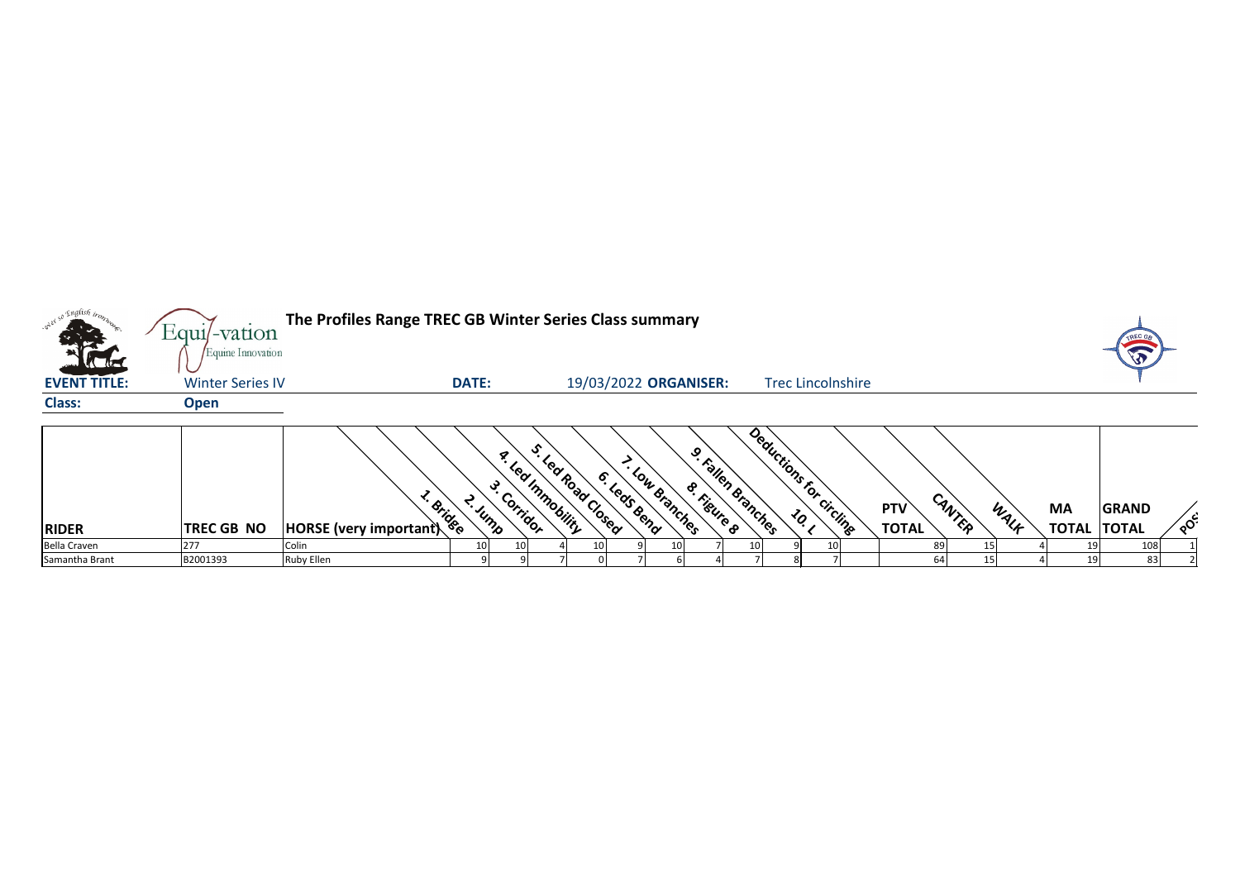| so English iron     | Equil-vation                                 | The Profiles Range TREC GB Winter Series Class summary |              |                                                  |                                            |                       |              |                                         |     |                |                               |                            |        |      |                                 |              |                            |
|---------------------|----------------------------------------------|--------------------------------------------------------|--------------|--------------------------------------------------|--------------------------------------------|-----------------------|--------------|-----------------------------------------|-----|----------------|-------------------------------|----------------------------|--------|------|---------------------------------|--------------|----------------------------|
| <b>EVENT TITLE:</b> | Equine Innovation<br><b>Winter Series IV</b> |                                                        | <b>DATE:</b> |                                                  |                                            | 19/03/2022 ORGANISER: |              |                                         |     |                | <b>Trec Lincolnshire</b>      |                            |        |      |                                 |              |                            |
| <b>Class:</b>       | <b>Open</b>                                  |                                                        |              |                                                  |                                            |                       |              |                                         |     |                |                               |                            |        |      |                                 |              |                            |
| <b>RIDER</b>        | <b>TREC GB NO</b>                            | · Bridge<br><b>HORSE</b> (very important)              |              | $\mathcal{R}_{\lambda}$<br>- Corridor<br>T. Jump | O.<br>J. Lea Road Closed<br>Led Immobility | 6. Leas Bend          | Low Branches | 9. Fallen Branches<br><b>S. Fissing</b> |     | Deductions for | circling<br>$\mathcal{L}_{Q}$ | <b>PTV</b><br><b>TOTAL</b> | CANTER | WALK | <b>MA</b><br><b>TOTAL TOTAL</b> | <b>GRAND</b> | $\mathcal{S}_{\mathbf{Q}}$ |
| <b>Bella Craven</b> | 277                                          | Colin                                                  |              | 10                                               |                                            |                       |              |                                         | 10I |                |                               | 89                         |        |      |                                 | 108          |                            |
| Samantha Brant      | B2001393                                     | <b>Ruby Ellen</b>                                      |              |                                                  |                                            |                       |              |                                         |     |                |                               |                            | 64     |      | 19                              | 83           |                            |



| <b>PTV</b>   | CANTER | WALF | <b>MA</b>    | <b>GRAND</b> |      |
|--------------|--------|------|--------------|--------------|------|
| <b>TOTAL</b> |        |      | <b>TOTAL</b> | <b>TOTAL</b> | POC' |
| 89           | 15     | 4    | 19           | 108          |      |
| 64           | 15     | 4    | 19           | 83           | າ    |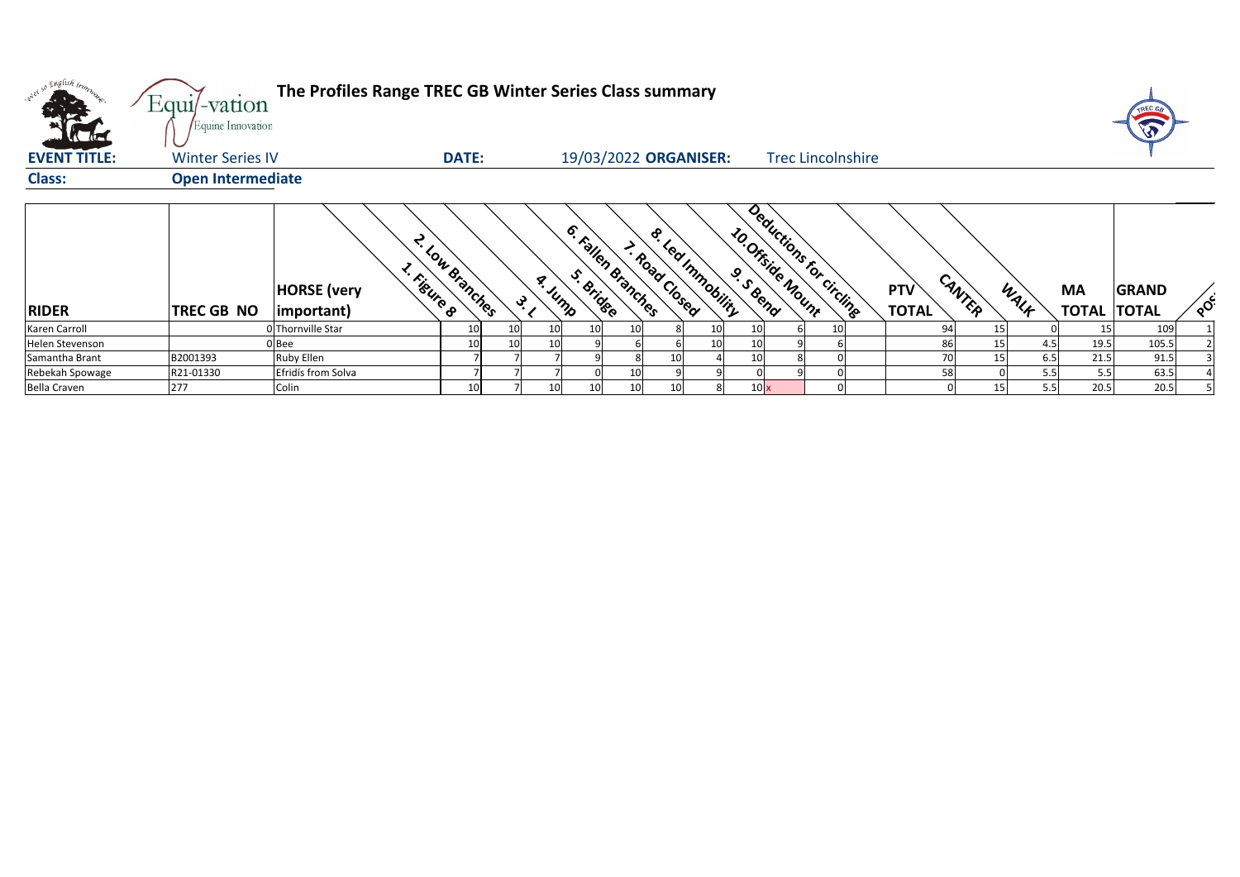| only so English iron,<br>the the | Equi/-vation<br>Equine Innovation | The Profiles Range TREC GB Winter Series Class summary |                 |     |                 |                                 |                 |                 |                                                                  |                          |                            |        |                        |                                 | TREC G       |          |
|----------------------------------|-----------------------------------|--------------------------------------------------------|-----------------|-----|-----------------|---------------------------------|-----------------|-----------------|------------------------------------------------------------------|--------------------------|----------------------------|--------|------------------------|---------------------------------|--------------|----------|
| <b>EVENT TITLE:</b>              | <b>Winter Series IV</b>           |                                                        | <b>DATE:</b>    |     |                 | 19/03/2022 ORGANISER:           |                 |                 |                                                                  | <b>Trec Lincolnshire</b> |                            |        |                        |                                 |              |          |
| <b>Class:</b>                    | <b>Open Intermediate</b>          |                                                        |                 |     |                 |                                 |                 |                 |                                                                  |                          |                            |        |                        |                                 |              |          |
| <b>RIDER</b>                     | <b>TREC GB NO</b>                 | 1. Figure 8<br><b>HORSE</b> (very<br>(important)       | 2. Low Branches | ्रे | a. Jump         | 6. Fallen Branches<br>S. Bridge | I. Road Closed  | & Learnmobility | Deductions for circlinge<br>10. Offside Mount<br><b>S.S.R.R.</b> |                          | <b>PTV</b><br><b>TOTAL</b> | CANTER | WALK                   | <b>MA</b><br><b>TOTAL TOTAL</b> | <b>GRAND</b> | $\delta$ |
| Karen Carroll                    |                                   | 0Thornville Star                                       | 10              | 10  | 10 <sup>1</sup> |                                 | 10 <sub>l</sub> |                 |                                                                  | 10                       |                            | 94     | 15 I                   | 15                              | 109          |          |
| Helen Stevenson                  |                                   | IBee                                                   | 10              | 10  | 10              |                                 |                 |                 |                                                                  |                          |                            | 86     | 4.5<br>15 <sub>l</sub> | 19.5                            | 105.5        |          |
| Samantha Brant                   | B2001393                          | Ruby Ellen                                             |                 |     |                 |                                 |                 | 10              |                                                                  |                          |                            | 70I    | 6.5<br>15              | 21.5                            | 91.5         |          |
| Rebekah Spowage                  | R21-01330                         | Efridís from Solva                                     |                 |     |                 |                                 | 10              |                 |                                                                  |                          |                            | 58     | 5.5                    | 5.5                             | 63.5         |          |
| <b>Bella Craven</b>              | 277                               | Colin                                                  | 10              |     | 10 <sup>1</sup> |                                 | 10              |                 | 10x                                                              |                          |                            |        | 5.5<br>15              | 20.5                            | 20.5         |          |

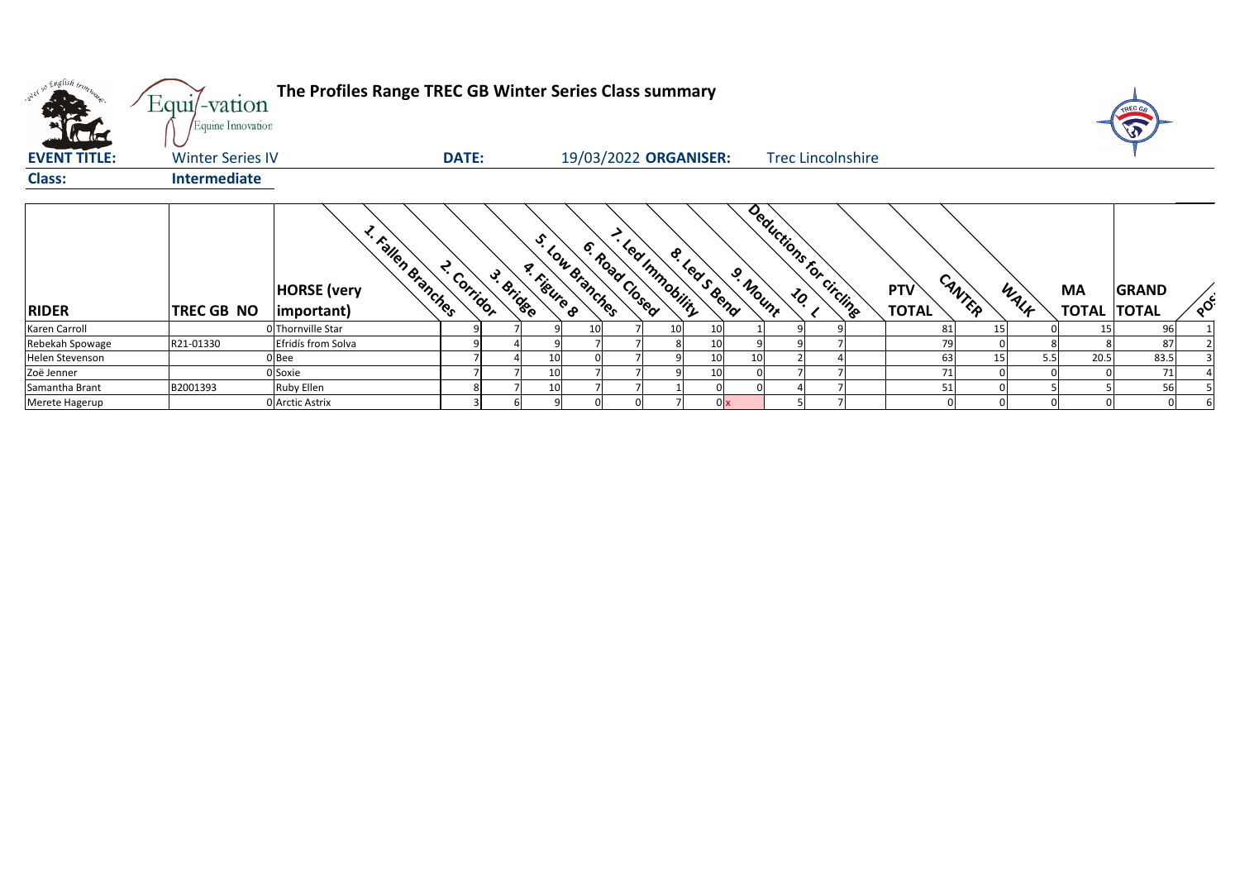

| orel so English iron. | Equi/-vation<br>Equine Innovation | The Profiles Range TREC GB Winter Series Class summary  |                          |                                |                       |                |                  |              |          |                          |                            |        |           |                                 |              |                            |
|-----------------------|-----------------------------------|---------------------------------------------------------|--------------------------|--------------------------------|-----------------------|----------------|------------------|--------------|----------|--------------------------|----------------------------|--------|-----------|---------------------------------|--------------|----------------------------|
| <b>EVENT TITLE:</b>   | <b>Winter Series IV</b>           |                                                         | <b>DATE:</b>             |                                | 19/03/2022 ORGANISER: |                |                  |              |          | <b>Trec Lincolnshire</b> |                            |        |           |                                 |              |                            |
| <b>Class:</b>         | <b>Intermediate</b>               |                                                         |                          |                                |                       |                |                  |              |          |                          |                            |        |           |                                 |              |                            |
| <b>RIDER</b>          | <b>TREC GB NO</b>                 | I. Fallen Branches<br><b>HORSE</b> (very<br>(important) | 2. Corridor<br>3. Bridge | S. Low Branches<br>A. Figure 8 |                       | 6. Road Closed | - Led Innobility | 8. Leas Bend | 9. Mount | Deductions for circling  | <b>PTV</b><br><b>TOTAL</b> | CANTER | WALK      | <b>MA</b><br><b>TOTAL TOTAL</b> | <b>GRAND</b> | $\mathcal{L}_{\mathbf{Q}}$ |
| Karen Carroll         |                                   | 0 Thornville Star                                       |                          |                                |                       |                | 10               | 10           |          |                          |                            | 81     | 15        |                                 | 96           |                            |
| Rebekah Spowage       | R21-01330                         | Efridís from Solva                                      |                          |                                |                       |                |                  | 10           |          |                          |                            | 79     |           |                                 | 87           |                            |
| Helen Stevenson       |                                   | 0Bee                                                    |                          | 10                             |                       |                |                  | 10           | 10       |                          |                            | 63     | 15<br>5.5 | 20.5                            | 83.5         |                            |
| Zoë Jenner            |                                   | 0 Soxie                                                 |                          | 10                             |                       |                |                  | 10           |          |                          |                            | 71     |           |                                 | 71           |                            |
| Samantha Brant        | B2001393                          | <b>Ruby Ellen</b>                                       | 8                        | 10                             |                       |                |                  |              |          |                          |                            | 51     |           |                                 | 56           |                            |
| Merete Hagerup        |                                   | 0 Arctic Astrix                                         |                          |                                |                       |                |                  |              | 0x       |                          |                            |        |           |                                 |              |                            |

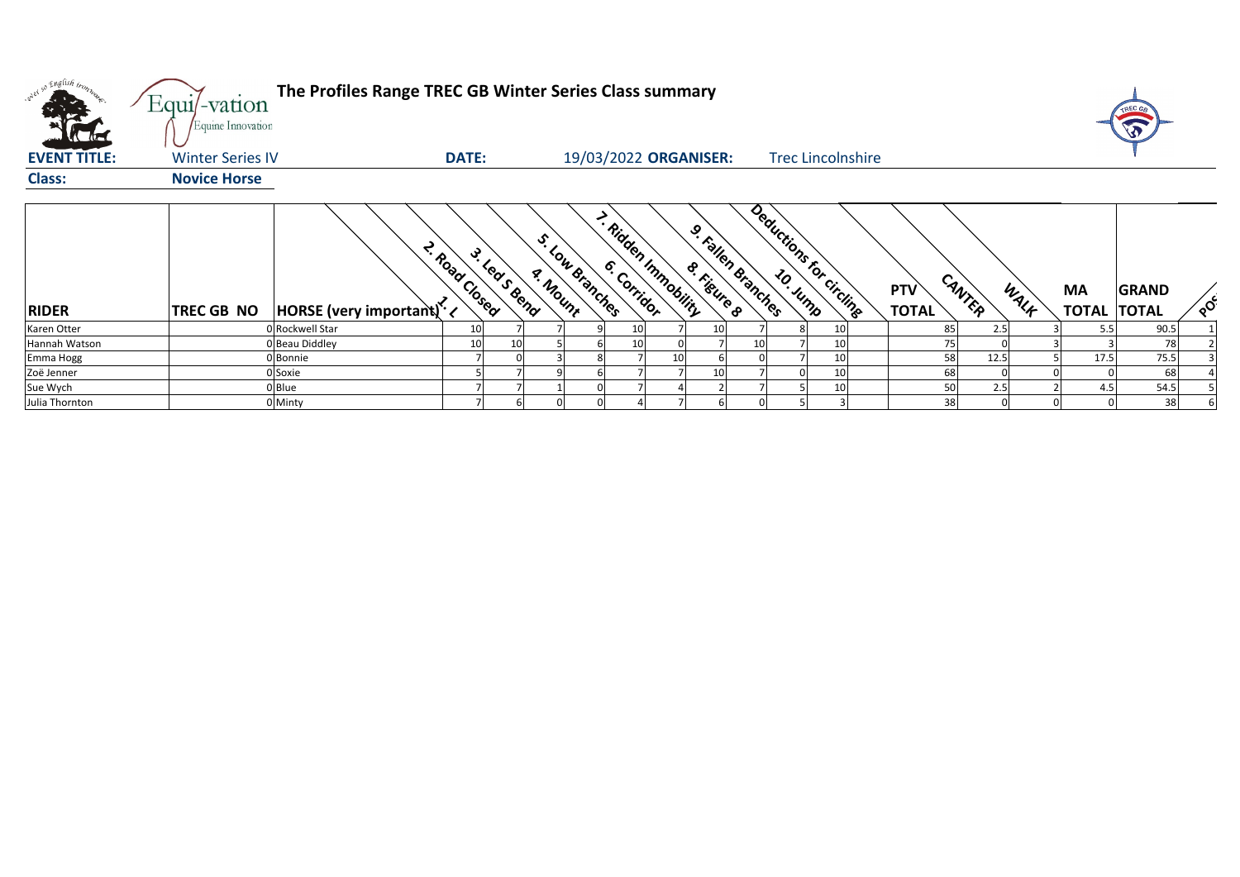| oner so English tronn<br><b>Catalogue</b> | Equi/-vation<br>Equine Innovation | The Profiles Range TREC GB Winter Series Class summary |                |              |                                  |     |                       |                   |                    |                          |                            |        |      |                                 |              |          |
|-------------------------------------------|-----------------------------------|--------------------------------------------------------|----------------|--------------|----------------------------------|-----|-----------------------|-------------------|--------------------|--------------------------|----------------------------|--------|------|---------------------------------|--------------|----------|
| <b>EVENT TITLE:</b>                       | <b>Winter Series IV</b>           |                                                        | <b>DATE:</b>   |              |                                  |     | 19/03/2022 ORGANISER: |                   |                    | <b>Trec Lincolnshire</b> |                            |        |      |                                 |              |          |
| <b>Class:</b>                             | <b>Novice Horse</b>               |                                                        |                |              |                                  |     |                       |                   |                    |                          |                            |        |      |                                 |              |          |
| <b>RIDER</b>                              | <b>TREC GB NO</b>                 | $ HORSE $ (very important) $\cdot$                     | 2. Road Closed | 3. Leas Bend | S. Low Branches<br><b>Andunt</b> |     | Ridden Immobility     | <b>S. Fissing</b> | 9. Fallen Branches | Deductions for circlinge | <b>PTV</b><br><b>TOTAL</b> | CANTER | WALK | <b>MA</b><br><b>TOTAL TOTAL</b> | <b>GRAND</b> | $\delta$ |
| Karen Otter                               |                                   | 0 Rockwell Star                                        | 10             |              |                                  | 10I |                       | 10                |                    |                          | 85                         | 2.5    |      | 5.5                             | 90.5         |          |
| Hannah Watson                             |                                   | 0 Beau Diddley                                         | 10             | 10           |                                  | 10  |                       |                   | 10                 | 10                       |                            |        |      |                                 | 78           |          |
| Emma Hogg                                 |                                   | 0Bonnie                                                |                |              |                                  |     |                       |                   |                    | 10                       | 58                         | 12.5   |      | 17.5                            | 75.5         |          |
| Zoë Jenner                                |                                   | 0 Soxie                                                |                |              |                                  |     |                       |                   |                    |                          | 68                         |        |      |                                 | 68           |          |
| Sue Wych                                  |                                   | $0$ Blue                                               |                |              |                                  |     |                       |                   |                    |                          | 50                         | 2.5    |      | 4.5                             | 54.5         |          |
| Julia Thornton                            |                                   | 0 Minty                                                |                |              |                                  |     |                       |                   |                    |                          | 38                         |        |      |                                 | 38           |          |

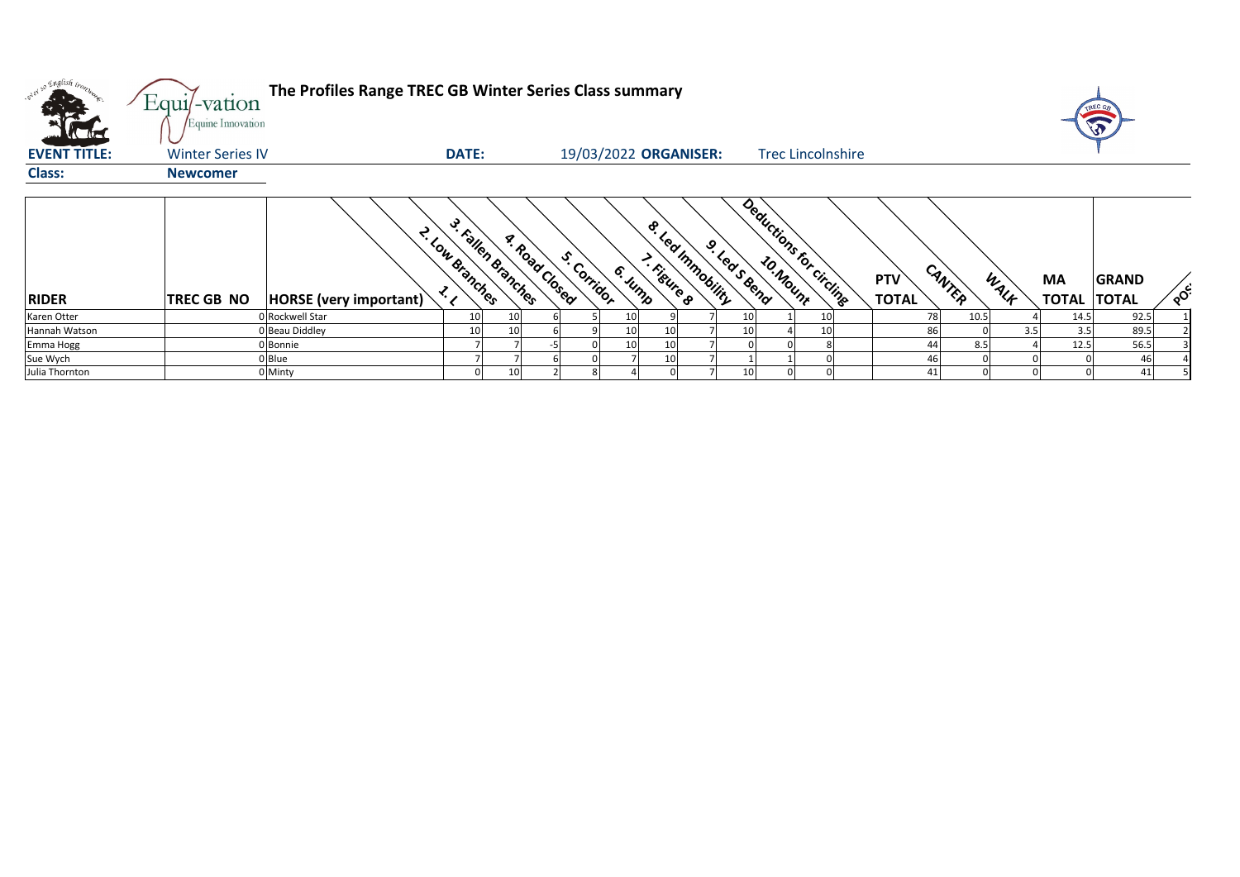| oner so English iron.<br><b>ATTACK</b> | Equi/-vation<br>Equine Innovation | The Profiles Range TREC GB Winter Series Class summary |                                      |                        |                                   |                                  |                          |    |                            |    |        |      |                                 |              |    |
|----------------------------------------|-----------------------------------|--------------------------------------------------------|--------------------------------------|------------------------|-----------------------------------|----------------------------------|--------------------------|----|----------------------------|----|--------|------|---------------------------------|--------------|----|
| L'action<br><b>EVENT TITLE:</b>        | <b>Winter Series IV</b>           | <b>DATE:</b>                                           |                                      | 19/03/2022 ORGANISER:  |                                   |                                  | <b>Trec Lincolnshire</b> |    |                            |    |        |      |                                 |              |    |
| <b>Class:</b>                          | <b>Newcomer</b>                   |                                                        |                                      |                        |                                   |                                  |                          |    |                            |    |        |      |                                 |              |    |
| <b>RIDER</b>                           | <b>TREC GB NO</b>                 | 2. Low Branches<br>HORSE (very important)              | 3. Fallen Branches<br>A. Road Closed | S. Corridor<br>6. Jump | $\dot{\mathbf{e}}$<br>T. Figure 8 | · led mmobility<br>9. Lease Bend | Deductions for circling  |    | <b>PTV</b><br><b>TOTAL</b> |    | CANTER | WALK | <b>MA</b><br><b>TOTAL TOTAL</b> | <b>GRAND</b> | ໌ດ |
| Karen Otter                            |                                   | 0 Rockwell Star<br>10                                  | 10                                   | 10 <sup>1</sup>        |                                   |                                  |                          | 10 |                            | 78 | 10.5   |      | 14.5                            | 92.5         |    |
| Hannah Watson                          |                                   | 0 Beau Diddley<br>10                                   |                                      | 10 <sup>1</sup>        | 10                                |                                  |                          |    |                            | 86 |        | 3.5  | 3.5                             | 89.5         |    |
| Emma Hogg                              |                                   | 0 Bonnie                                               |                                      | 10 <sup>1</sup>        | 10                                |                                  |                          |    |                            | 44 | 8.5    |      | 12.5                            | 56.5         |    |
| Sue Wych                               |                                   | $0$ Blue                                               |                                      |                        | 10                                |                                  |                          |    |                            | 46 |        |      |                                 | 46           |    |
| Julia Thornton                         |                                   | 0 Minty                                                |                                      |                        |                                   |                                  |                          |    |                            | 41 |        |      |                                 | 41           |    |



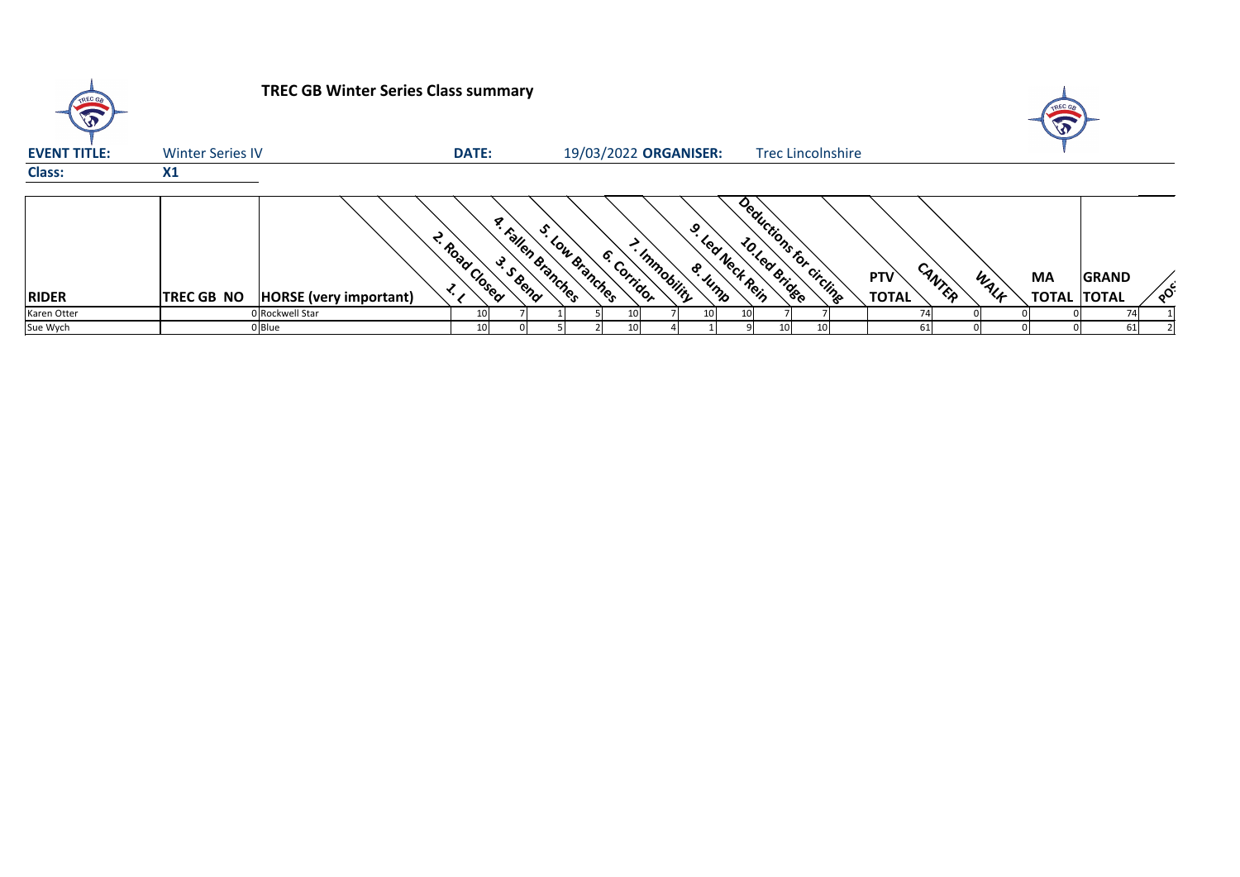

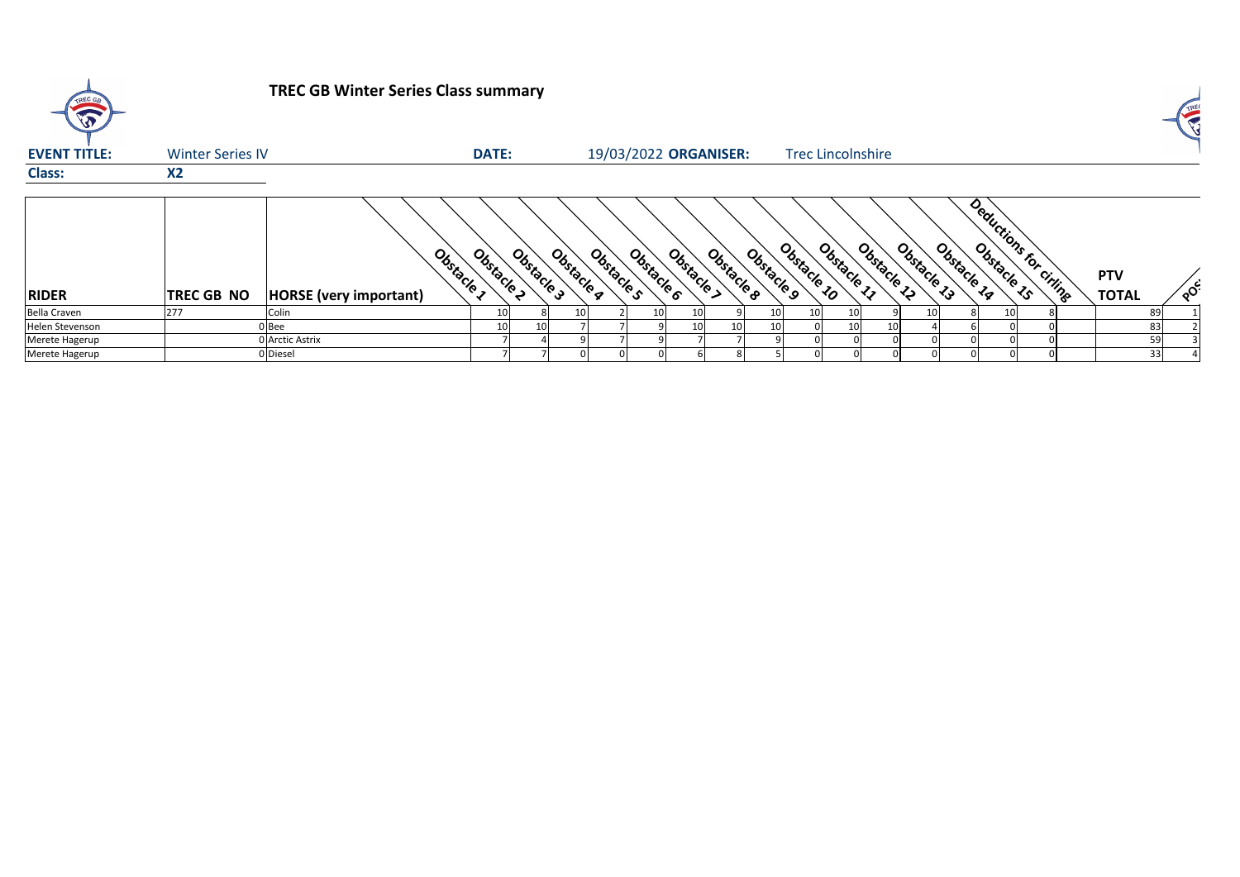## **TREC GB Winter Series Class summary**

| <b>EVENT TITLE:</b> | <b>Winter Series IV</b> |                                           | <b>DATE:</b> |                          |            | 19/03/2022 ORGANISER:                  |                           | <b>Trec Lincolnshire</b> |                             |    |                        |                            |              |
|---------------------|-------------------------|-------------------------------------------|--------------|--------------------------|------------|----------------------------------------|---------------------------|--------------------------|-----------------------------|----|------------------------|----------------------------|--------------|
| <b>Class:</b>       | X <sub>2</sub>          |                                           |              |                          |            |                                        |                           |                          |                             |    |                        |                            |              |
| <b>RIDER</b>        | <b>TREC GB NO</b>       | Obstacle<br><b>HORSE</b> (very important) | Obstacle     | Obstacle 3<br>Obstacle 4 | Obstacle s | Obstacle ><br>Obstacle B<br>Obstacle 6 | Obstacle 10<br>Obstacle 9 | Obstacle<br>Obstacle 1   | Obstracle 14<br>Obstacle 13 |    | Deductions for ciringe | <b>PTV</b><br><b>TOTAL</b> | $\rm ^\circ$ |
| <b>Bella Craven</b> | 277                     | Colin                                     |              |                          |            | 10I                                    | 10I<br>10I                | 10I                      | 10I                         | 10 |                        | 89                         |              |
| Helen Stevenson     |                         | $0$ Bee                                   |              | 10                       |            | 10<br>10                               | 10 I                      | 10I<br>10I               |                             |    |                        | 83                         |              |
| Merete Hagerup      |                         | 0 Arctic Astrix                           |              |                          |            |                                        |                           |                          |                             |    |                        | 59                         |              |
| Merete Hagerup      |                         | 0 Diesel                                  |              |                          |            |                                        |                           |                          |                             |    |                        | 33                         |              |



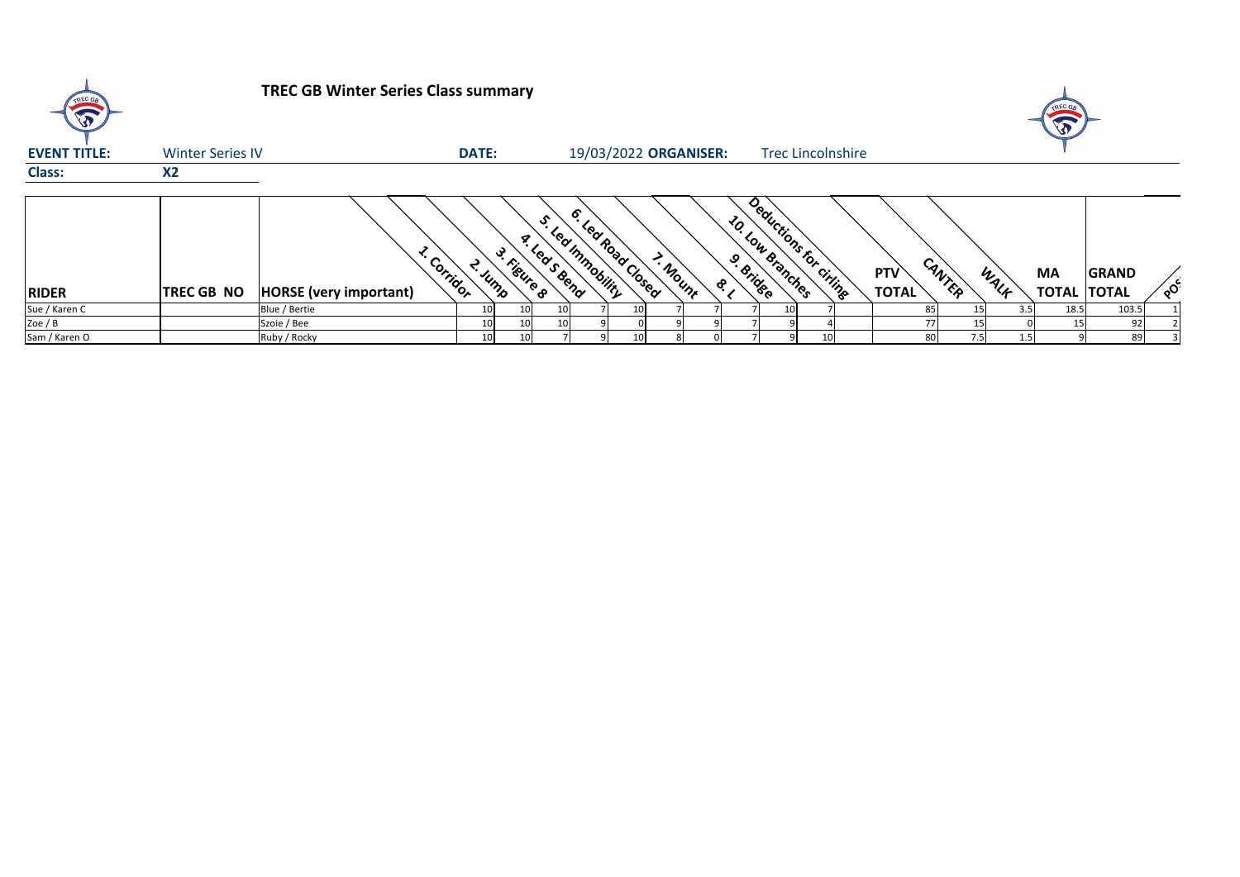